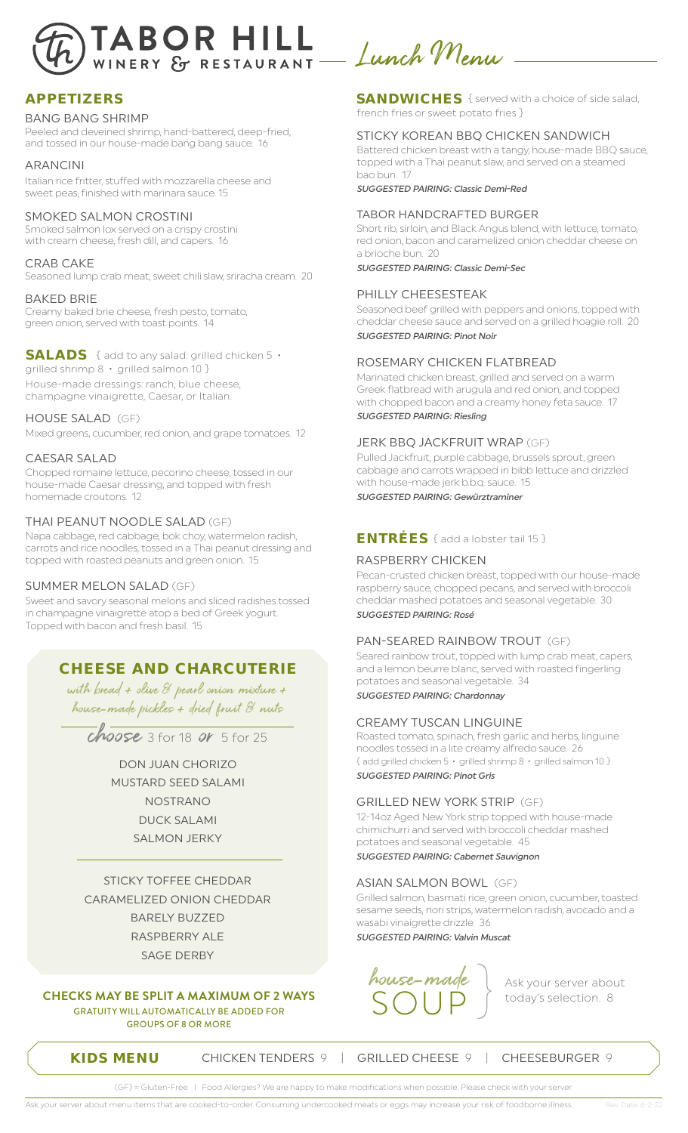

### **APPETIZERS**

#### BANG BANG SHRIMP

Peeled and deveined shrimp, hand-battered, deep-fried, and tossed in our house-made bang bang sauce. 16

#### ARANCINI

Italian rice fritter, stuffed with mozzarella cheese and sweet peas, finished with marinara sauce. 15

#### SMOKED SALMON CROSTINI

Smoked salmon lox served on a crispy crostini with cream cheese, fresh dill, and capers. 16

#### CRAB CAKE

Seasoned lump crab meat, sweet chili slaw, sriracha cream. 20

#### BAKED BRIE

Creamy baked brie cheese, fresh pesto, tomato, green onion, served with toast points. 14

**SALADS** { add to any salad: grilled chicken 5 • grilled shrimp 8 • grilled salmon 10 } House-made dressings: ranch, blue cheese, champagne vinaigrette, Caesar, or Italian.

#### HOUSE SALAD (GF)

Mixed greens, cucumber, red onion, and grape tomatoes. 12

### CAESAR SALAD

Chopped romaine lettuce, pecorino cheese, tossed in our house-made Caesar dressing, and topped with fresh homemade croutons. 12

### THAI PEANUT NOODLE SALAD (GF)

Napa cabbage, red cabbage, bok choy, watermelon radish, carrots and rice noodles, tossed in a Thai peanut dressing and topped with roasted peanuts and green onion. 15

### SUMMER MELON SALAD (GF)

Sweet and savory seasonal melons and sliced radishes tossed in champagne vinaigrette atop a bed of Greek yogurt. Topped with bacon and fresh basil. 15

### **CHEESE AND CHARCUTERIE**

with bread + olive & pearl onion mixture + house-made pickles + dried fruit & nuts

 $ch$ oose 3 for 18 or 5 for 25

DON JUAN CHORIZO MUSTARD SEED SALAMI NOSTRANO DUCK SALAMI SALMON JERKY

STICKY TOFFEE CHEDDAR CARAMELIZED ONION CHEDDAR BARELY BUZZED RASPBERRY ALE SAGE DERBY

**CHECKS MAY BE SPLIT A MAXIMUM OF 2 WAYS** GRATUITY WILL AUTOMATICALLY BE ADDED FOR GROUPS OF 8 OR MORE

**SANDWICHES** { served with a choice of side salad, french fries or sweet potato fries }

### STICKY KOREAN BBQ CHICKEN SANDWICH

Battered chicken breast with a tangy, house-made BBQ sauce, topped with a Thai peanut slaw, and served on a steamed bao bun. 17

SUGGESTED PAIRING: Classic Demi-Red

### TABOR HANDCRAFTED BURGER

Short rib, sirloin, and Black Angus blend, with lettuce, tomato, red onion, bacon and caramelized onion cheddar cheese on a brioche bun. 20

SUGGESTED PAIRING: Classic Demi-Sec

#### PHILLY CHEESESTEAK

Seasoned beef grilled with peppers and onions, topped with cheddar cheese sauce and served on a grilled hoagie roll. 20 SUGGESTED PAIRING: Pinot Noir

#### ROSEMARY CHICKEN FLATBREAD

Marinated chicken breast, grilled and served on a warm Greek flatbread with arugula and red onion, and topped with chopped bacon and a creamy honey feta sauce. 17 SUGGESTED PAIRING: Riesling

### JERK BBQ JACKFRUIT WRAP (GF)

Pulled Jackfruit, purple cabbage, brussels sprout, green cabbage and carrots wrapped in bibb lettuce and drizzled with house-made jerk b.b.q. sauce. 15 SUGGESTED PAIRING: Gewürztraminer

### **ENTRÉES** { add a lobster tail 15 }

### RASPBERRY CHICKEN

Pecan-crusted chicken breast, topped with our house-made raspberry sauce, chopped pecans, and served with broccoli cheddar mashed potatoes and seasonal vegetable. 30 SUGGESTED PAIRING: Rosé

### PAN-SEARED RAINBOW TROUT (GF)

Seared rainbow trout, topped with lump crab meat, capers, and a lemon beurre blanc, served with roasted fingerling potatoes and seasonal vegetable. 34 SUGGESTED PAIRING: Chardonnay

### CREAMY TUSCAN LINGUINE

Roasted tomato, spinach, fresh garlic and herbs, linguine noodles tossed in a lite creamy alfredo sauce. 26 { add grilled chicken 5 • grilled shrimp 8 • grilled salmon 10 } SUGGESTED PAIRING: Pinot Gris

### GRILLED NEW YORK STRIP (GF)

12-14oz Aged New York strip topped with house-made chimichurri and served with broccoli cheddar mashed potatoes and seasonal vegetable. 45 SUGGESTED PAIRING: Cabernet Sauvignon

### ASIAN SALMON BOWL (GF)

Grilled salmon, basmati rice, green onion, cucumber, toasted sesame seeds, nori strips, watermelon radish, avocado and a wasabi vinaigrette drizzle. 36

SUGGESTED PAIRING: Valvin Muscat



today's selection. 8

**KIDS MENU** CHICKEN TENDERS 9 | GRILLED CHEESE 9 | CHEESEBURGER 9

(GF) = Gluten-Free | Food Allergies? We are happy to make modifications when possible. Please check with your serv

Ask your server about menu items that are cooked-to-order. Consuming undercooked meats or eggs may increase your risk of foodborne illness. Rev. Date: 6-2-22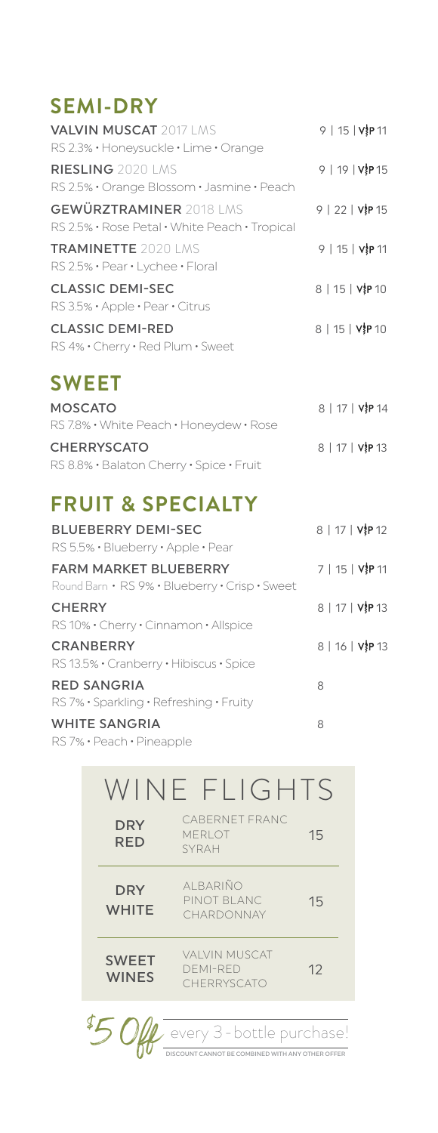## **SEMI-DRY**

| <b>VALVIN MUSCAT 2017 LMS</b><br>RS 2.3% · Honeysuckle · Lime · Orange                        | $9   15   V$ <sub>8</sub> P 11                |
|-----------------------------------------------------------------------------------------------|-----------------------------------------------|
| <b>RIESLING</b> 2020 LMS<br>RS 2.5% · Orange Blossom · Jasmine · Peach                        | 9   19   VIP 15                               |
| <b>GEWÜRZTRAMINER 2018 LMS</b><br>RS 2.5% · Rose Petal · White Peach · Tropical               | 9   22   VIP 15                               |
| <b>TRAMINETTE 2020 LMS</b><br>$RS$ 2.5% $\cdot$ Pear $\cdot$ Lychee $\cdot$ Floral            | $9   15   V$ <b>P</b> 11                      |
| <b>CLASSIC DEMI-SEC</b><br>$RS3.5\% \cdot \text{Apple} \cdot \text{Pear} \cdot \text{Citrus}$ | $8   15   V$ <sup>1</sup> / <sub>2</sub> P 10 |
| <b>CLASSIC DEMI-RED</b><br>RS 4% · Cherry · Red Plum · Sweet                                  | $8   15   V$ }P 10                            |

# **SWEET**

| <b>MOSCATO</b>                           | 8   17   VIP 14 |
|------------------------------------------|-----------------|
| RS 7.8% • White Peach • Honeydew • Rose  |                 |
| <b>CHERRYSCATO</b>                       | 8   17   VIP 13 |
| RS 8.8% · Balaton Cherry · Spice · Fruit |                 |

# **FRUIT & SPECIALTY**

| <b>BLUEBERRY DEMI-SEC</b><br>RS 5.5% · Blueberry · Apple · Pear                | 8   17   V P 12 |
|--------------------------------------------------------------------------------|-----------------|
| <b>FARM MARKET BLUEBERRY</b><br>Round Barn • RS 9% • Blueberry • Crisp • Sweet | 7   15   V P 11 |
| <b>CHERRY</b><br>RS 10% · Cherry · Cinnamon · Allspice                         | 8   17   VIP 13 |
| <b>CRANBERRY</b><br>RS 13.5% · Cranberry · Hibiscus · Spice                    | 8   16   VIP 13 |
| <b>RED SANGRIA</b><br>RS 7% · Sparkling · Refreshing · Fruity                  | 8               |
| <b>WHITE SANGRIA</b>                                                           | 8               |

RS 7% • Peach • Pineapple

|                              | WINE FLIGHTS                                                               |    |
|------------------------------|----------------------------------------------------------------------------|----|
| <b>DRY</b><br><b>RED</b>     | CABERNET FRANC<br><b>MERI OT</b><br><b>SYRAH</b>                           | 15 |
| <b>DRY</b><br><b>WHITF</b>   | AI BARIÑO<br>PINOT BI ANC<br>CHARDONNAY                                    | 15 |
| <b>SWEET</b><br><b>WINES</b> | VAI VIN MUSCAT<br>DEMI-RED<br>CHERRYSCATO                                  | 12 |
|                              | $\prime$ every 3 - bottle purchase!<br>OT BE COMBINED WITH ANY OTHER OFFER |    |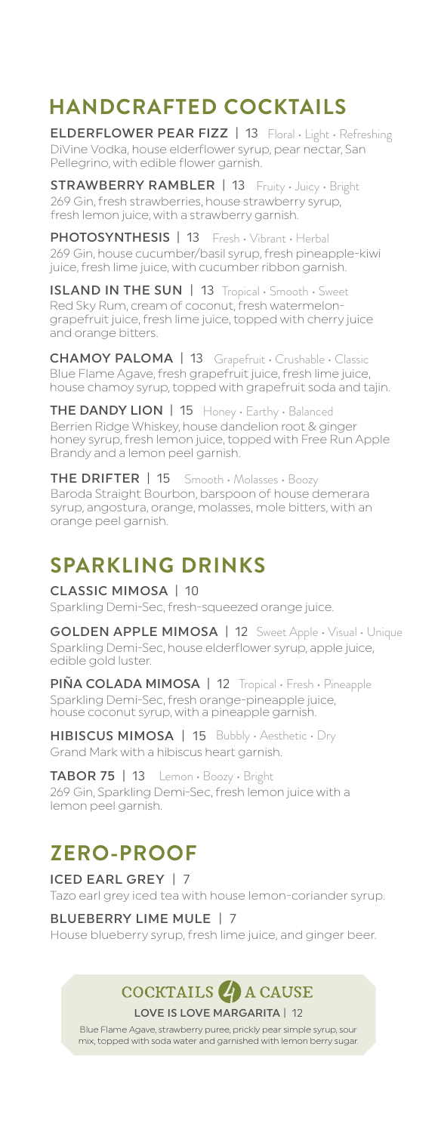# **HANDCRAFTED COCKTAILS**

ELDERFLOWER PEAR FIZZ | 13 Floral · Light · Refreshing DiVine Vodka, house elderflower syrup, pear nectar, San Pellegrino, with edible flower garnish.

STRAWBERRY RAMBLER | 13 Fruity · Juicy · Bright 269 Gin, fresh strawberries, house strawberry syrup, fresh lemon juice, with a strawberry garnish.

PHOTOSYNTHESIS | 13 269 Gin, house cucumber/basil syrup, fresh pineapple-kiwi juice, fresh lime juice, with cucumber ribbon garnish. Fresh • Vibrant • Herbal

ISLAND IN THE SUN | 13 Tropical · Smooth · Sweet Red Sky Rum, cream of coconut, fresh watermelongrapefruit juice, fresh lime juice, topped with cherry juice and orange bitters.

CHAMOY PALOMA | 13 Grapefruit • Crushable • Classic Blue Flame Agave, fresh grapefruit juice, fresh lime juice, house chamoy syrup, topped with grapefruit soda and tajin.

THE DANDY LION | 15 Honey · Earthy · Balanced Berrien Ridge Whiskey, house dandelion root & ginger honey syrup, fresh lemon juice, topped with Free Run Apple Brandy and a lemon peel garnish.

THE DRIFTER | 15 Baroda Straight Bourbon, barspoon of house demerara syrup, angostura, orange, molasses, mole bitters, with an orange peel garnish. Smooth • Molasses • Boozy

# **SPARKLING DRINKS**

#### CLASSIC MIMOSA | 10

Sparkling Demi-Sec, fresh-squeezed orange juice.

GOLDEN APPLE MIMOSA | 12 Sweet Apple · Visual · Unique Sparkling Demi-Sec, house elderflower syrup, apple juice, edible gold luster.

PIÑA COLADA MIMOSA | 12 Tropical • Fresh • Pineapple Sparkling Demi-Sec, fresh orange-pineapple juice, house coconut syrup, with a pineapple garnish.

HIBISCUS MIMOSA | 15 Bubbly · Aesthetic · Dry Grand Mark with a hibiscus heart garnish.

TABOR 75 | 13 Lemon • Boozy • Bright 269 Gin, Sparkling Demi-Sec, fresh lemon juice with a lemon peel garnish.

## **ZERO-PROOF**

ICED EARL GREY | 7 Tazo earl grey iced tea with house lemon-coriander syrup.

BLUEBERRY LIME MULE | 7 House blueberry syrup, fresh lime juice, and ginger beer.

# COCKTAILS 4 A CAUSE

LOVE IS LOVE MARGARITA | 12

Blue Flame Agave, strawberry puree, prickly pear simple syrup, sour mix, topped with soda water and garnished with lemon berry sugar.